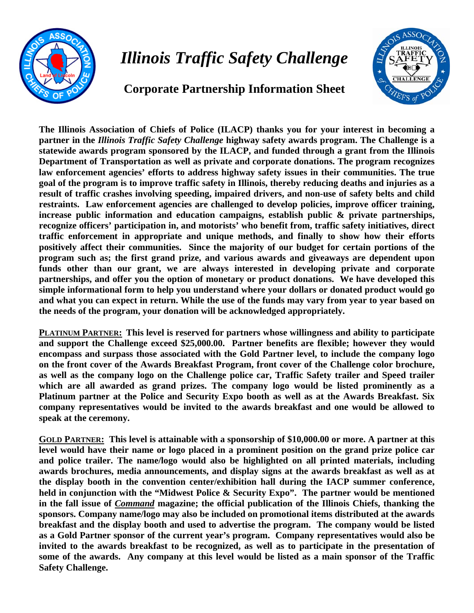

## *Illinois Traffic Safety Challenge*

## **Corporate Partnership Information Sheet**



**The Illinois Association of Chiefs of Police (ILACP) thanks you for your interest in becoming a partner in the** *Illinois Traffic Safety Challenge* **highway safety awards program. The Challenge is a statewide awards program sponsored by the ILACP, and funded through a grant from the Illinois Department of Transportation as well as private and corporate donations. The program recognizes law enforcement agencies' efforts to address highway safety issues in their communities. The true goal of the program is to improve traffic safety in Illinois, thereby reducing deaths and injuries as a result of traffic crashes involving speeding, impaired drivers, and non-use of safety belts and child restraints. Law enforcement agencies are challenged to develop policies, improve officer training, increase public information and education campaigns, establish public & private partnerships, recognize officers' participation in, and motorists' who benefit from, traffic safety initiatives, direct traffic enforcement in appropriate and unique methods, and finally to show how their efforts positively affect their communities. Since the majority of our budget for certain portions of the program such as; the first grand prize, and various awards and giveaways are dependent upon funds other than our grant, we are always interested in developing private and corporate partnerships, and offer you the option of monetary or product donations. We have developed this simple informational form to help you understand where your dollars or donated product would go and what you can expect in return. While the use of the funds may vary from year to year based on the needs of the program, your donation will be acknowledged appropriately.** 

**PLATINUM PARTNER: This level is reserved for partners whose willingness and ability to participate and support the Challenge exceed \$25,000.00. Partner benefits are flexible; however they would encompass and surpass those associated with the Gold Partner level, to include the company logo on the front cover of the Awards Breakfast Program, front cover of the Challenge color brochure, as well as the company logo on the Challenge police car, Traffic Safety trailer and Speed trailer which are all awarded as grand prizes. The company logo would be listed prominently as a Platinum partner at the Police and Security Expo booth as well as at the Awards Breakfast. Six company representatives would be invited to the awards breakfast and one would be allowed to speak at the ceremony.** 

**GOLD PARTNER: This level is attainable with a sponsorship of \$10,000.00 or more. A partner at this level would have their name or logo placed in a prominent position on the grand prize police car and police trailer. The name/logo would also be highlighted on all printed materials, including awards brochures, media announcements, and display signs at the awards breakfast as well as at the display booth in the convention center/exhibition hall during the IACP summer conference, held in conjunction with the "Midwest Police & Security Expo". The partner would be mentioned in the fall issue of** *Command* **magazine; the official publication of the Illinois Chiefs, thanking the sponsors. Company name/logo may also be included on promotional items distributed at the awards breakfast and the display booth and used to advertise the program. The company would be listed as a Gold Partner sponsor of the current year's program. Company representatives would also be invited to the awards breakfast to be recognized, as well as to participate in the presentation of some of the awards. Any company at this level would be listed as a main sponsor of the Traffic Safety Challenge.**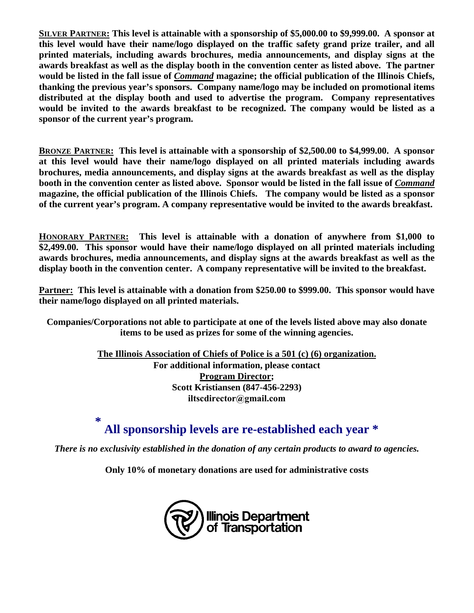**SILVER PARTNER: This level is attainable with a sponsorship of \$5,000.00 to \$9,999.00. A sponsor at this level would have their name/logo displayed on the traffic safety grand prize trailer, and all printed materials, including awards brochures, media announcements, and display signs at the awards breakfast as well as the display booth in the convention center as listed above. The partner would be listed in the fall issue of** *Command* **magazine; the official publication of the Illinois Chiefs, thanking the previous year's sponsors. Company name/logo may be included on promotional items distributed at the display booth and used to advertise the program. Company representatives would be invited to the awards breakfast to be recognized. The company would be listed as a sponsor of the current year's program.** 

**BRONZE PARTNER: This level is attainable with a sponsorship of \$2,500.00 to \$4,999.00. A sponsor at this level would have their name/logo displayed on all printed materials including awards brochures, media announcements, and display signs at the awards breakfast as well as the display booth in the convention center as listed above. Sponsor would be listed in the fall issue of** *Command* **magazine, the official publication of the Illinois Chiefs. The company would be listed as a sponsor of the current year's program. A company representative would be invited to the awards breakfast.** 

**HONORARY PARTNER: This level is attainable with a donation of anywhere from \$1,000 to \$2,499.00. This sponsor would have their name/logo displayed on all printed materials including awards brochures, media announcements, and display signs at the awards breakfast as well as the display booth in the convention center. A company representative will be invited to the breakfast.** 

**Partner: This level is attainable with a donation from \$250.00 to \$999.00. This sponsor would have their name/logo displayed on all printed materials.** 

**Companies/Corporations not able to participate at one of the levels listed above may also donate items to be used as prizes for some of the winning agencies.** 

> **The Illinois Association of Chiefs of Police is a 501 (c) (6) organization. For additional information, please contact Program Director; Scott Kristiansen (847-456-2293) iltscdirector@gmail.com**

**\***

## **All sponsorship levels are re-established each year \***

*There is no exclusivity established in the donation of any certain products to award to agencies.* 

**Only 10% of monetary donations are used for administrative costs**